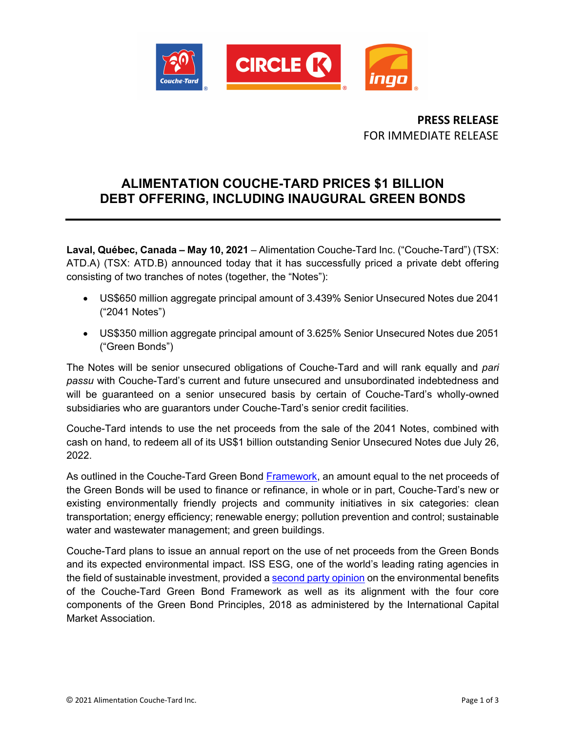

**PRESS RELEASE** FOR IMMEDIATE RELEASE

## **ALIMENTATION COUCHE-TARD PRICES \$1 BILLION DEBT OFFERING, INCLUDING INAUGURAL GREEN BONDS**

**Laval, Québec, Canada – May 10, 2021** – Alimentation Couche-Tard Inc. ("Couche-Tard") (TSX: ATD.A) (TSX: ATD.B) announced today that it has successfully priced a private debt offering consisting of two tranches of notes (together, the "Notes"):

- US\$650 million aggregate principal amount of 3.439% Senior Unsecured Notes due 2041 ("2041 Notes")
- US\$350 million aggregate principal amount of 3.625% Senior Unsecured Notes due 2051 ("Green Bonds")

The Notes will be senior unsecured obligations of Couche-Tard and will rank equally and *pari passu* with Couche-Tard's current and future unsecured and unsubordinated indebtedness and will be guaranteed on a senior unsecured basis by certain of Couche-Tard's wholly-owned subsidiaries who are guarantors under Couche-Tard's senior credit facilities.

Couche-Tard intends to use the net proceeds from the sale of the 2041 Notes, combined with cash on hand, to redeem all of its US\$1 billion outstanding Senior Unsecured Notes due July 26, 2022.

As outlined in the Couche-Tard Green Bond [Framework,](https://corpo.couche-tard.com/en/investors/sustainable-finance) an amount equal to the net proceeds of the Green Bonds will be used to finance or refinance, in whole or in part, Couche-Tard's new or existing environmentally friendly projects and community initiatives in six categories: clean transportation; energy efficiency; renewable energy; pollution prevention and control; sustainable water and wastewater management; and green buildings.

Couche-Tard plans to issue an annual report on the use of net proceeds from the Green Bonds and its expected environmental impact. ISS ESG, one of the world's leading rating agencies in the field of sustainable investment, provided a second [party opinion](https://corpo.couche-tard.com/en/investors/sustainable-finance) on the environmental benefits of the Couche-Tard Green Bond Framework as well as its alignment with the four core components of the Green Bond Principles, 2018 as administered by the International Capital Market Association.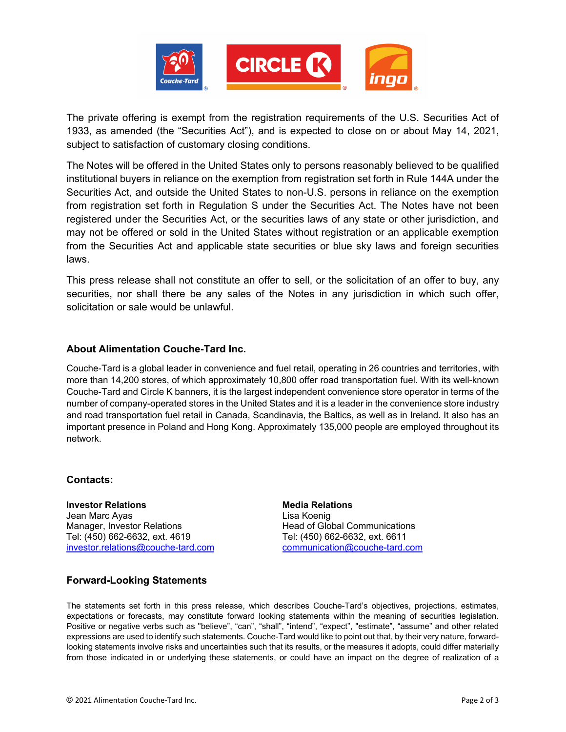

The private offering is exempt from the registration requirements of the U.S. Securities Act of 1933, as amended (the "Securities Act"), and is expected to close on or about May 14, 2021, subject to satisfaction of customary closing conditions.

The Notes will be offered in the United States only to persons reasonably believed to be qualified institutional buyers in reliance on the exemption from registration set forth in Rule 144A under the Securities Act, and outside the United States to non-U.S. persons in reliance on the exemption from registration set forth in Regulation S under the Securities Act. The Notes have not been registered under the Securities Act, or the securities laws of any state or other jurisdiction, and may not be offered or sold in the United States without registration or an applicable exemption from the Securities Act and applicable state securities or blue sky laws and foreign securities laws.

This press release shall not constitute an offer to sell, or the solicitation of an offer to buy, any securities, nor shall there be any sales of the Notes in any jurisdiction in which such offer, solicitation or sale would be unlawful.

## **About Alimentation Couche-Tard Inc.**

Couche-Tard is a global leader in convenience and fuel retail, operating in 26 countries and territories, with more than 14,200 stores, of which approximately 10,800 offer road transportation fuel. With its well-known Couche-Tard and Circle K banners, it is the largest independent convenience store operator in terms of the number of company-operated stores in the United States and it is a leader in the convenience store industry and road transportation fuel retail in Canada, Scandinavia, the Baltics, as well as in Ireland. It also has an important presence in Poland and Hong Kong. Approximately 135,000 people are employed throughout its network.

## **Contacts:**

**Investor Relations** Jean Marc Ayas Manager, Investor Relations Tel: (450) 662-6632, ext. 4619 [investor.relations@couche-tard.com](mailto:investor.relations@couche-tard.com)

**Media Relations** Lisa Koenig Head of Global Communications Tel: (450) 662-6632, ext. 6611 [communication@couche-tard.com](mailto:communication@couche-tard.com)

## **Forward-Looking Statements**

The statements set forth in this press release, which describes Couche-Tard's objectives, projections, estimates, expectations or forecasts, may constitute forward looking statements within the meaning of securities legislation. Positive or negative verbs such as "believe", "can", "shall", "intend", "expect", "estimate", "assume" and other related expressions are used to identify such statements. Couche-Tard would like to point out that, by their very nature, forwardlooking statements involve risks and uncertainties such that its results, or the measures it adopts, could differ materially from those indicated in or underlying these statements, or could have an impact on the degree of realization of a